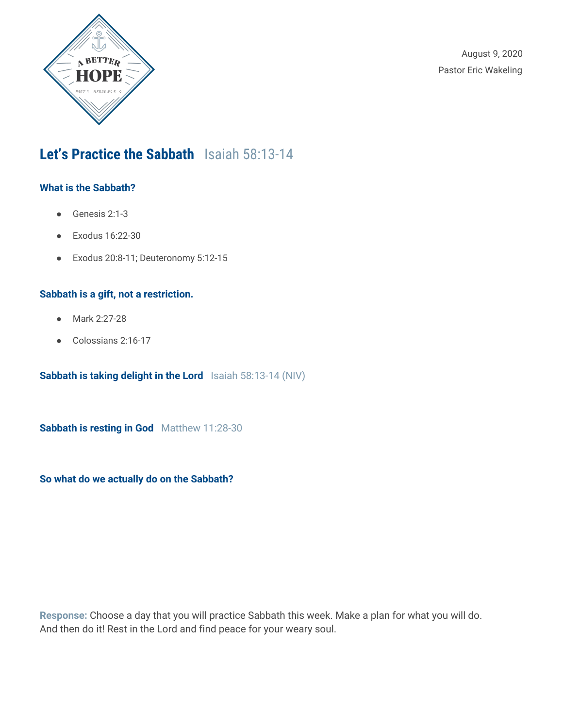

August 9, 2020 Pastor Eric Wakeling

## **Let's Practice the Sabbath** Isaiah 58:13-14

### **What is the Sabbath?**

- Genesis 2:1-3
- Exodus 16:22-30
- Exodus 20:8-11; Deuteronomy 5:12-15

### **Sabbath is a gift, not a restriction.**

- Mark 2:27-28
- Colossians 2:16-17

**Sabbath is taking delight in the Lord** Isaiah 58:13-14 (NIV)

**Sabbath is resting in God** Matthew 11:28-30

**So what do we actually do on the Sabbath?**

**Response:** Choose a day that you will practice Sabbath this week. Make a plan for what you will do. And then do it! Rest in the Lord and find peace for your weary soul.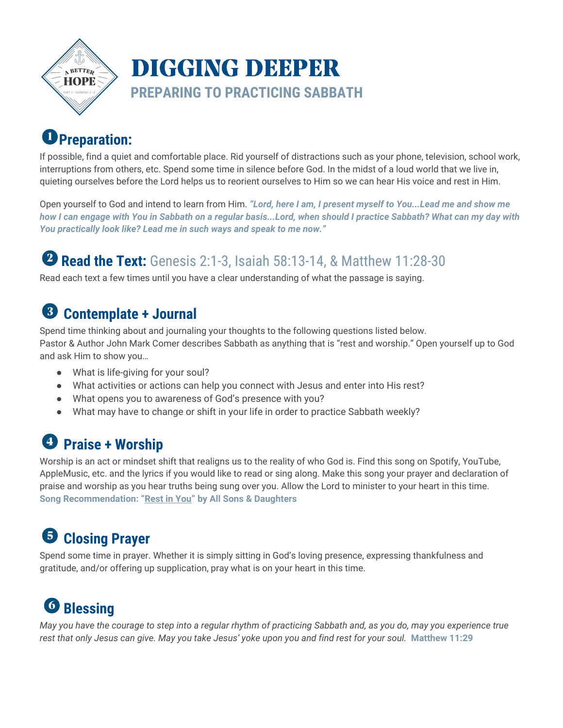

## **Preparation:**

If possible, find a quiet and comfortable place. Rid yourself of distractions such as your phone, television, school work, interruptions from others, etc. Spend some time in silence before God. In the midst of a loud world that we live in, quieting ourselves before the Lord helps us to reorient ourselves to Him so we can hear His voice and rest in Him.

Open yourself to God and intend to learn from Him. *"Lord, here I am, I present myself to You...Lead me and show me* how I can engage with You in Sabbath on a regular basis...Lord, when should I practice Sabbath? What can my day with *You practically look like? Lead me in such ways and speak to me now."*

## **Read the Text:** Genesis 2:1-3, Isaiah 58:13-14, & Matthew 11:28-30

Read each text a few times until you have a clear understanding of what the passage is saying.

#### $\left(3\right)$ **Contemplate + Journal**

Spend time thinking about and journaling your thoughts to the following questions listed below. Pastor & Author John Mark Comer describes Sabbath as anything that is "rest and worship." Open yourself up to God and ask Him to show you…

- What is life-giving for your soul?
- What activities or actions can help you connect with Jesus and enter into His rest?
- What opens you to awareness of God's presence with you?
- What may have to change or shift in your life in order to practice Sabbath weekly?

## **Praise + Worship**

Worship is an act or mindset shift that realigns us to the reality of who God is. Find this song on Spotify, YouTube, AppleMusic, etc. and the lyrics if you would like to read or sing along. Make this song your prayer and declaration of praise and worship as you hear truths being sung over you. Allow the Lord to minister to your heart in this time. **Song Recommendation: "[Rest](https://www.youtube.com/watch?v=mVKjCKYSGT4) in You" by All Sons & Daughters**

## **Closing Prayer**

Spend some time in prayer. Whether it is simply sitting in God's loving presence, expressing thankfulness and gratitude, and/or offering up supplication, pray what is on your heart in this time.

# **Blessing**

May you have the courage to step into a regular rhythm of practicing Sabbath and, as you do, may you experience true rest that only Jesus can give. May you take Jesus' yoke upon you and find rest for your soul. Matthew 11:29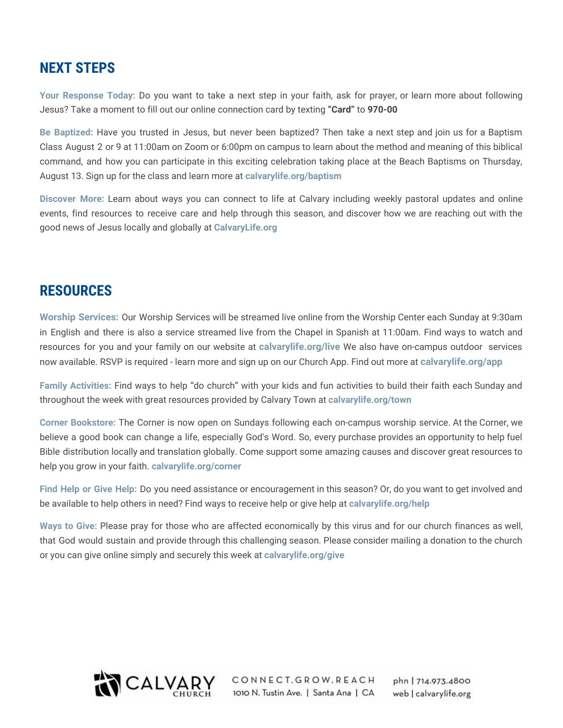### **NEXT STEPS**

**Your Response Today:** Do you want to take a next step in your faith, ask for prayer, or learn more about following Jesus? Take a moment to fill out our online connection card by texting **"Card"** to **970-00**

**Be Baptized:** Have you trusted in Jesus, but never been baptized? Then take a next step and join us for a Baptism Class August 2 or 9 at 11:00am on Zoom or 6:00pm on campus to learn about the method and meaning of this biblical command, and how you can participate in this exciting celebration taking place at the Beach Baptisms on Thursday, August 13. Sign up for the class and learn more at **calvarylife.org/baptism**

**Discover More:** Learn about ways you can connect to life at Calvary including weekly pastoral updates and online events, find resources to receive care and help through this season, and discover how we are reaching out with the good news of Jesus locally and globally at **CalvaryLife.org**

### **RESOURCES**

**Worship Services:** Our Worship Services will be streamed live online from the Worship Center each Sunday at 9:30am in English and there is also a service streamed live from the Chapel in Spanish at 11:00am. Find ways to watch and resources for you and your family on our website at **calvarylife.org/live** We also have on-campus outdoor services now available. RSVP is required - learn more and sign up on our Church App. Find out more at **calvarylife.org/app**

**Family Activities:** Find ways to help "do church" with your kids and fun activities to build their faith each Sunday and throughout the week with great resources provided by Calvary Town at **calvarylife.org/town**

**Corner Bookstore:** The Corner is now open on Sundays following each on-campus worship service. At the Corner, we believe a good book can change a life, especially God's Word. So, every purchase provides an opportunity to help fuel Bible distribution locally and translation globally. Come support some amazing causes and discover great resources to help you grow in your faith. **calvarylife.org/corner**

**Find Help or Give Help:** Do you need assistance or encouragement in this season? Or, do you want to get involved and be available to help others in need? Find ways to receive help or give help at **calvarylife.org/help**

**Ways to Give:** Please pray for those who are affected economically by this virus and for our church finances as well, that God would sustain and provide through this challenging season. Please consider mailing a donation to the church or you can give online simply and securely this week at **calvarylife.org/give**



CONNECT.GROW.REACH 1010 N. Tustin Ave. | Santa Ana | CA

phn | 714.973.4800 web | calvarylife.org